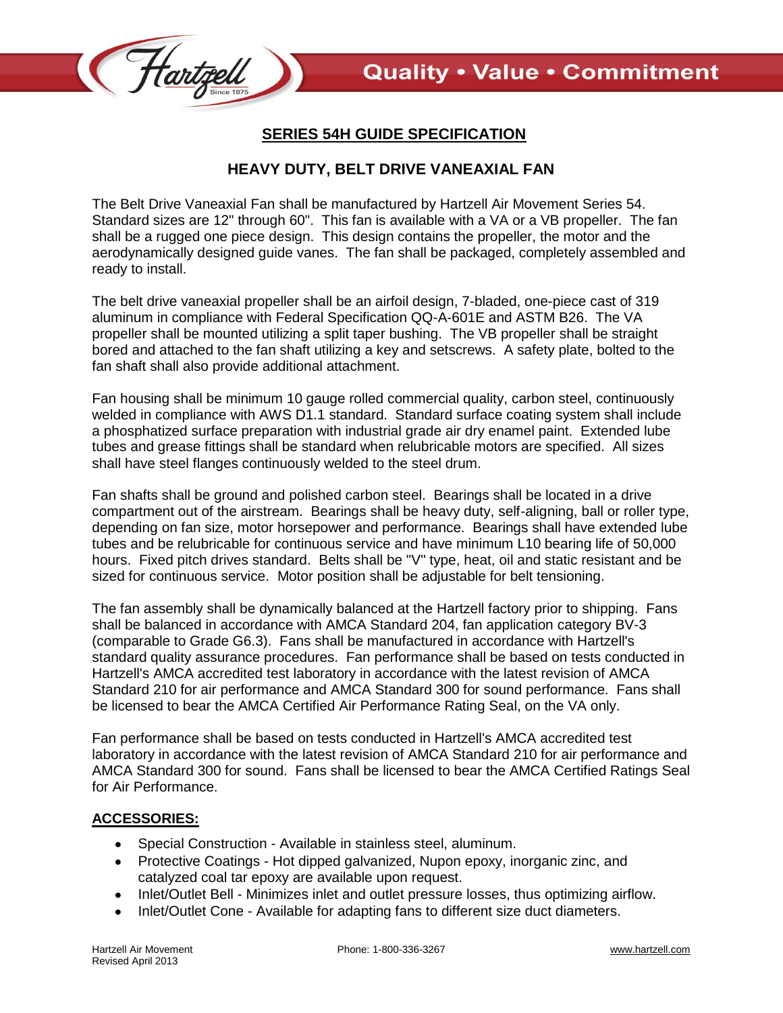

## **SERIES 54H GUIDE SPECIFICATION**

## **HEAVY DUTY, BELT DRIVE VANEAXIAL FAN**

The Belt Drive Vaneaxial Fan shall be manufactured by Hartzell Air Movement Series 54. Standard sizes are 12" through 60". This fan is available with a VA or a VB propeller. The fan shall be a rugged one piece design. This design contains the propeller, the motor and the aerodynamically designed guide vanes. The fan shall be packaged, completely assembled and ready to install.

The belt drive vaneaxial propeller shall be an airfoil design, 7-bladed, one-piece cast of 319 aluminum in compliance with Federal Specification QQ-A-601E and ASTM B26. The VA propeller shall be mounted utilizing a split taper bushing. The VB propeller shall be straight bored and attached to the fan shaft utilizing a key and setscrews. A safety plate, bolted to the fan shaft shall also provide additional attachment.

Fan housing shall be minimum 10 gauge rolled commercial quality, carbon steel, continuously welded in compliance with AWS D1.1 standard. Standard surface coating system shall include a phosphatized surface preparation with industrial grade air dry enamel paint. Extended lube tubes and grease fittings shall be standard when relubricable motors are specified. All sizes shall have steel flanges continuously welded to the steel drum.

Fan shafts shall be ground and polished carbon steel. Bearings shall be located in a drive compartment out of the airstream. Bearings shall be heavy duty, self-aligning, ball or roller type, depending on fan size, motor horsepower and performance. Bearings shall have extended lube tubes and be relubricable for continuous service and have minimum L10 bearing life of 50,000 hours. Fixed pitch drives standard. Belts shall be "V" type, heat, oil and static resistant and be sized for continuous service. Motor position shall be adjustable for belt tensioning.

The fan assembly shall be dynamically balanced at the Hartzell factory prior to shipping. Fans shall be balanced in accordance with AMCA Standard 204, fan application category BV-3 (comparable to Grade G6.3). Fans shall be manufactured in accordance with Hartzell's standard quality assurance procedures. Fan performance shall be based on tests conducted in Hartzell's AMCA accredited test laboratory in accordance with the latest revision of AMCA Standard 210 for air performance and AMCA Standard 300 for sound performance. Fans shall be licensed to bear the AMCA Certified Air Performance Rating Seal, on the VA only.

Fan performance shall be based on tests conducted in Hartzell's AMCA accredited test laboratory in accordance with the latest revision of AMCA Standard 210 for air performance and AMCA Standard 300 for sound. Fans shall be licensed to bear the AMCA Certified Ratings Seal for Air Performance.

## **ACCESSORIES:**

- Special Construction Available in stainless steel, aluminum.
- Protective Coatings Hot dipped galvanized, Nupon epoxy, inorganic zinc, and catalyzed coal tar epoxy are available upon request.
- Inlet/Outlet Bell Minimizes inlet and outlet pressure losses, thus optimizing airflow.
- Inlet/Outlet Cone Available for adapting fans to different size duct diameters.